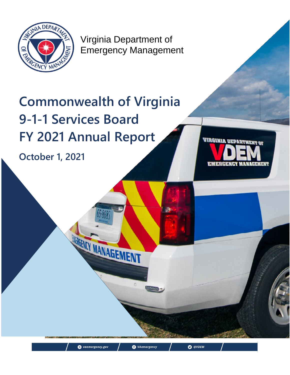

Virginia Department of Emergency Management

Page | 1

<sup>O</sup> VAemergency

O @VDEM

# **Commonwealth of Virginia 9-1-1 Services Board FY 2021 Annual Report**

MARGENCY MANAGEMENT

vaemergency.gov

**October 1, 2021**

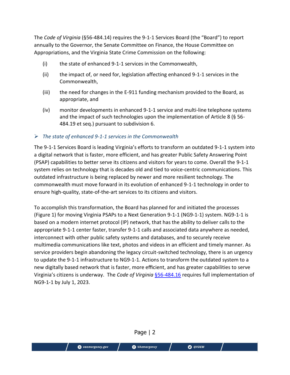The *Code of Virginia* (§56-484.14) requires the 9-1-1 Services Board (the "Board") to report annually to the Governor, the Senate Committee on Finance, the House Committee on Appropriations, and the Virginia State Crime Commission on the following:

- (i) the state of enhanced 9-1-1 services in the Commonwealth,
- (ii) the impact of, or need for, legislation affecting enhanced 9-1-1 services in the Commonwealth,
- (iii) the need for changes in the E-911 funding mechanism provided to the Board, as appropriate, and
- (iv) monitor developments in enhanced 9-1-1 service and multi-line telephone systems and the impact of such technologies upon the implementation of Article 8 (§ 56- 484.19 et seq.) pursuant to subdivision 6.

### *The state of enhanced 9-1-1 services in the Commonwealth*

The 9-1-1 Services Board is leading Virginia's efforts to transform an outdated 9-1-1 system into a digital network that is faster, more efficient, and has greater Public Safety Answering Point (PSAP) capabilities to better serve its citizens and visitors for years to come. Overall the 9-1-1 system relies on technology that is decades old and tied to voice-centric communications. This outdated infrastructure is being replaced by newer and more resilient technology. The commonwealth must move forward in its evolution of enhanced 9-1-1 technology in order to ensure high-quality, state-of-the-art services to its citizens and visitors.

To accomplish this transformation, the Board has planned for and initiated the processes (Figure 1) for moving Virginia PSAPs to a Next Generation 9-1-1 (NG9-1-1) system. NG9-1-1 is based on a modern internet protocol (IP) network, that has the ability to deliver calls to the appropriate 9-1-1 center faster, transfer 9-1-1 calls and associated data anywhere as needed, interconnect with other public safety systems and databases, and to securely receive multimedia communications like text, photos and videos in an efficient and timely manner. As service providers begin abandoning the legacy circuit-switched technology, there is an urgency to update the 9-1-1 infrastructure to NG9-1-1. Actions to transform the outdated system to a new digitally based network that is faster, more efficient, and has greater capabilities to serve Virginia's citizens is underway. The *Code of Virginia* [§56-484.16](https://law.lis.virginia.gov/vacode/title56/chapter15/section56-484.16/#:~:text=%C2%A7%2056%2D484.16.-,Local%20emergency%20telecommunications%20requirements%3B%20text%20messages%3B%20use%20of%20digits%20%22,9%2D1%2D1.%22&text=The%20digits%20%229%2D1%2D,9%2D1%2D1.%22) requires full implementation of NG9-1-1 by July 1, 2023.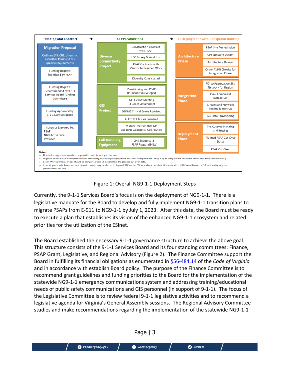



Currently, the 9-1-1 Services Board's focus is on the deployment of NG9-1-1. There is a legislative mandate for the Board to develop and fully implement NG9-1-1 transition plans to migrate PSAPs from E-911 to NG9-1-1 by July 1, 2023. After this date, the Board must be ready to execute a plan that establishes its vision of the enhanced NG9-1-1 ecosystem and related priorities for the utilization of the ESInet.

The Board established the necessary 9-1-1 governance structure to achieve the above goal. This structure consists of the 9-1-1 Services Board and its four standing committees: Finance, PSAP Grant, Legislative, and Regional Advisory (Figure 2). The Finance Committee support the Board in fulfilling its financial obligations as enumerated in [§56-484.14](https://law.lis.virginia.gov/vacode/title56/chapter15/section56-484.14/) of the *Code of Virginia* and in accordance with establish Board policy. The purpose of the Finance Committee is to recommend grant guidelines and funding priorities to the Board for the implementation of the statewide NG9-1-1 emergency communications system and addressing training/educational needs of public safety communications and GIS personnel (in support of 9-1-1). The focus of the Legislative Committee is to review federal 9-1-1 legislative activities and to recommend a legislative agenda for Virginia's General Assembly sessions. The Regional Advisory Committee studies and make recommendations regarding the implementation of the statewide NG9-1-1

Page | 3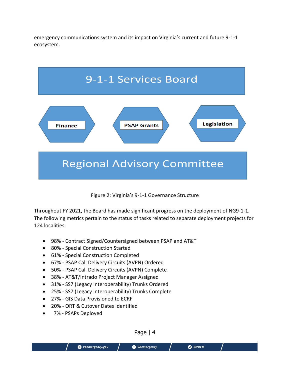emergency communications system and its impact on Virginia's current and future 9-1-1 ecosystem.



#### Figure 2: Virginia's 9-1-1 Governance Structure

Throughout FY 2021, the Board has made significant progress on the deployment of NG9-1-1. The following metrics pertain to the status of tasks related to separate deployment projects for 124 localities:

- 98% Contract Signed/Countersigned between PSAP and AT&T
- 80% Special Construction Started
- 61% Special Construction Completed
- 67% PSAP Call Delivery Circuits (AVPN) Ordered
- 50% PSAP Call Delivery Circuits (AVPN) Complete
- 38% AT&T/Intrado Project Manager Assigned
- 31% SS7 (Legacy Interoperability) Trunks Ordered
- 25% SS7 (Legacy Interoperability) Trunks Complete
- 27% GIS Data Provisioned to ECRF
- 20% ORT & Cutover Dates Identified
- 7% PSAPs Deployed

Page | 4